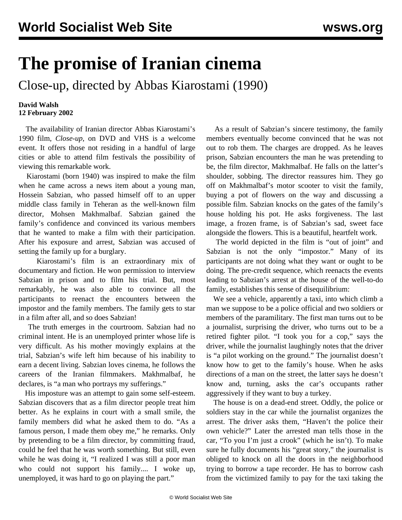## **The promise of Iranian cinema**

Close-up, directed by Abbas Kiarostami (1990)

## **David Walsh 12 February 2002**

 The availability of Iranian director Abbas Kiarostami's 1990 film, *Close-up*, on DVD and VHS is a welcome event. It offers those not residing in a handful of large cities or able to attend film festivals the possibility of viewing this remarkable work.

 Kiarostami (born 1940) was inspired to make the film when he came across a news item about a young man, Hossein Sabzian, who passed himself off to an upper middle class family in Teheran as the well-known film director, Mohsen Makhmalbaf. Sabzian gained the family's confidence and convinced its various members that he wanted to make a film with their participation. After his exposure and arrest, Sabzian was accused of setting the family up for a burglary.

 Kiarostami's film is an extraordinary mix of documentary and fiction. He won permission to interview Sabzian in prison and to film his trial. But, most remarkably, he was also able to convince all the participants to reenact the encounters between the impostor and the family members. The family gets to star in a film after all, and so does Sabzian!

 The truth emerges in the courtroom. Sabzian had no criminal intent. He is an unemployed printer whose life is very difficult. As his mother movingly explains at the trial, Sabzian's wife left him because of his inability to earn a decent living. Sabzian loves cinema, he follows the careers of the Iranian filmmakers. Makhmalbaf, he declares, is "a man who portrays my sufferings."

 His imposture was an attempt to gain some self-esteem. Sabzian discovers that as a film director people treat him better. As he explains in court with a small smile, the family members did what he asked them to do. "As a famous person, I made them obey me," he remarks. Only by pretending to be a film director, by committing fraud, could he feel that he was worth something. But still, even while he was doing it, "I realized I was still a poor man who could not support his family.... I woke up, unemployed, it was hard to go on playing the part."

 As a result of Sabzian's sincere testimony, the family members eventually become convinced that he was not out to rob them. The charges are dropped. As he leaves prison, Sabzian encounters the man he was pretending to be, the film director, Makhmalbaf. He falls on the latter's shoulder, sobbing. The director reassures him. They go off on Makhmalbaf's motor scooter to visit the family, buying a pot of flowers on the way and discussing a possible film. Sabzian knocks on the gates of the family's house holding his pot. He asks forgiveness. The last image, a frozen frame, is of Sabzian's sad, sweet face alongside the flowers. This is a beautiful, heartfelt work.

 The world depicted in the film is "out of joint" and Sabzian is not the only "impostor." Many of its participants are not doing what they want or ought to be doing. The pre-credit sequence, which reenacts the events leading to Sabzian's arrest at the house of the well-to-do family, establishes this sense of disequilibrium:

 We see a vehicle, apparently a taxi, into which climb a man we suppose to be a police official and two soldiers or members of the paramilitary. The first man turns out to be a journalist, surprising the driver, who turns out to be a retired fighter pilot. "I took you for a cop," says the driver, while the journalist laughingly notes that the driver is "a pilot working on the ground." The journalist doesn't know how to get to the family's house. When he asks directions of a man on the street, the latter says he doesn't know and, turning, asks the car's occupants rather aggressively if they want to buy a turkey.

 The house is on a dead-end street. Oddly, the police or soldiers stay in the car while the journalist organizes the arrest. The driver asks them, "Haven't the police their own vehicle?" Later the arrested man tells those in the car, "To you I'm just a crook" (which he isn't). To make sure he fully documents his "great story," the journalist is obliged to knock on all the doors in the neighborhood trying to borrow a tape recorder. He has to borrow cash from the victimized family to pay for the taxi taking the